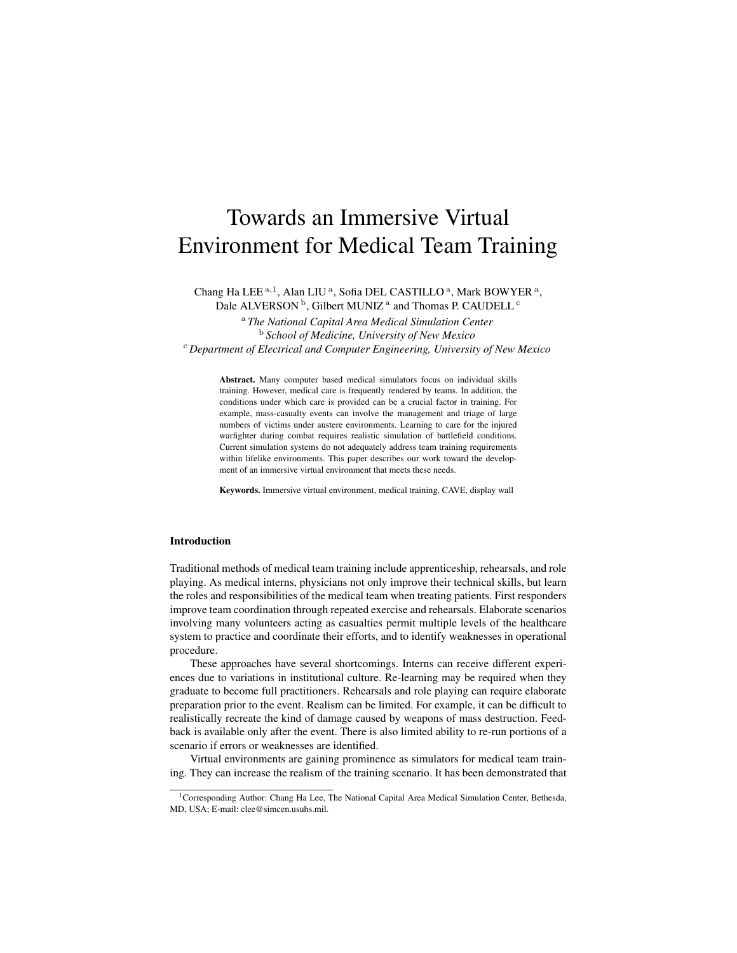# Towards an Immersive Virtual Environment for Medical Team Training

Chang Ha LEE <sup>a, 1</sup>, Alan LIU<sup>a</sup>, Sofia DEL CASTILLO<sup>a</sup>, Mark BOWYER<sup>a</sup>, Dale ALVERSON<sup>b</sup>, Gilbert MUNIZ<sup>a</sup> and Thomas P. CAUDELL<sup>c</sup>

<sup>a</sup> *The National Capital Area Medical Simulation Center* <sup>b</sup> *School of Medicine, University of New Mexico* <sup>c</sup> *Department of Electrical and Computer Engineering, University of New Mexico*

Abstract. Many computer based medical simulators focus on individual skills training. However, medical care is frequently rendered by teams. In addition, the conditions under which care is provided can be a crucial factor in training. For example, mass-casualty events can involve the management and triage of large numbers of victims under austere environments. Learning to care for the injured warfighter during combat requires realistic simulation of battlefield conditions. Current simulation systems do not adequately address team training requirements within lifelike environments. This paper describes our work toward the development of an immersive virtual environment that meets these needs.

Keywords. Immersive virtual environment, medical training, CAVE, display wall

# Introduction

Traditional methods of medical team training include apprenticeship, rehearsals, and role playing. As medical interns, physicians not only improve their technical skills, but learn the roles and responsibilities of the medical team when treating patients. First responders improve team coordination through repeated exercise and rehearsals. Elaborate scenarios involving many volunteers acting as casualties permit multiple levels of the healthcare system to practice and coordinate their efforts, and to identify weaknesses in operational procedure.

These approaches have several shortcomings. Interns can receive different experiences due to variations in institutional culture. Re-learning may be required when they graduate to become full practitioners. Rehearsals and role playing can require elaborate preparation prior to the event. Realism can be limited. For example, it can be difficult to realistically recreate the kind of damage caused by weapons of mass destruction. Feedback is available only after the event. There is also limited ability to re-run portions of a scenario if errors or weaknesses are identified.

Virtual environments are gaining prominence as simulators for medical team training. They can increase the realism of the training scenario. It has been demonstrated that

<sup>&</sup>lt;sup>1</sup>Corresponding Author: Chang Ha Lee, The National Capital Area Medical Simulation Center, Bethesda, MD, USA; E-mail: clee@simcen.usuhs.mil.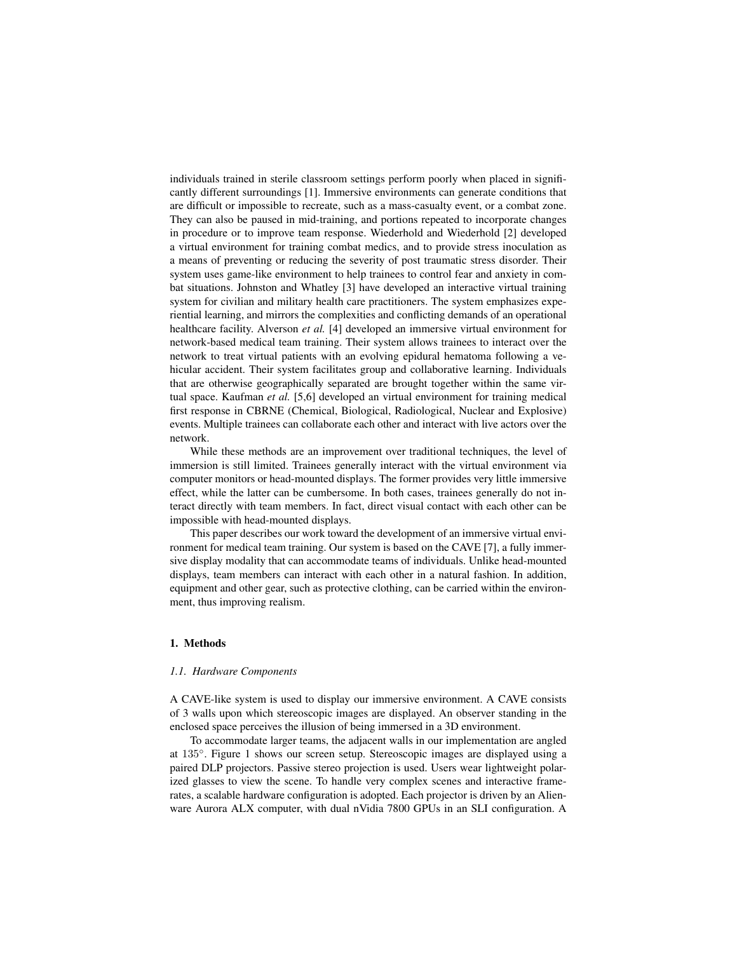individuals trained in sterile classroom settings perform poorly when placed in significantly different surroundings [1]. Immersive environments can generate conditions that are difficult or impossible to recreate, such as a mass-casualty event, or a combat zone. They can also be paused in mid-training, and portions repeated to incorporate changes in procedure or to improve team response. Wiederhold and Wiederhold [2] developed a virtual environment for training combat medics, and to provide stress inoculation as a means of preventing or reducing the severity of post traumatic stress disorder. Their system uses game-like environment to help trainees to control fear and anxiety in combat situations. Johnston and Whatley [3] have developed an interactive virtual training system for civilian and military health care practitioners. The system emphasizes experiential learning, and mirrors the complexities and conflicting demands of an operational healthcare facility. Alverson *et al.* [4] developed an immersive virtual environment for network-based medical team training. Their system allows trainees to interact over the network to treat virtual patients with an evolving epidural hematoma following a vehicular accident. Their system facilitates group and collaborative learning. Individuals that are otherwise geographically separated are brought together within the same virtual space. Kaufman *et al.* [5,6] developed an virtual environment for training medical first response in CBRNE (Chemical, Biological, Radiological, Nuclear and Explosive) events. Multiple trainees can collaborate each other and interact with live actors over the network.

While these methods are an improvement over traditional techniques, the level of immersion is still limited. Trainees generally interact with the virtual environment via computer monitors or head-mounted displays. The former provides very little immersive effect, while the latter can be cumbersome. In both cases, trainees generally do not interact directly with team members. In fact, direct visual contact with each other can be impossible with head-mounted displays.

This paper describes our work toward the development of an immersive virtual environment for medical team training. Our system is based on the CAVE [7], a fully immersive display modality that can accommodate teams of individuals. Unlike head-mounted displays, team members can interact with each other in a natural fashion. In addition, equipment and other gear, such as protective clothing, can be carried within the environment, thus improving realism.

# 1. Methods

#### *1.1. Hardware Components*

A CAVE-like system is used to display our immersive environment. A CAVE consists of 3 walls upon which stereoscopic images are displayed. An observer standing in the enclosed space perceives the illusion of being immersed in a 3D environment.

To accommodate larger teams, the adjacent walls in our implementation are angled at 135◦. Figure 1 shows our screen setup. Stereoscopic images are displayed using a paired DLP projectors. Passive stereo projection is used. Users wear lightweight polarized glasses to view the scene. To handle very complex scenes and interactive framerates, a scalable hardware configuration is adopted. Each projector is driven by an Alienware Aurora ALX computer, with dual nVidia 7800 GPUs in an SLI configuration. A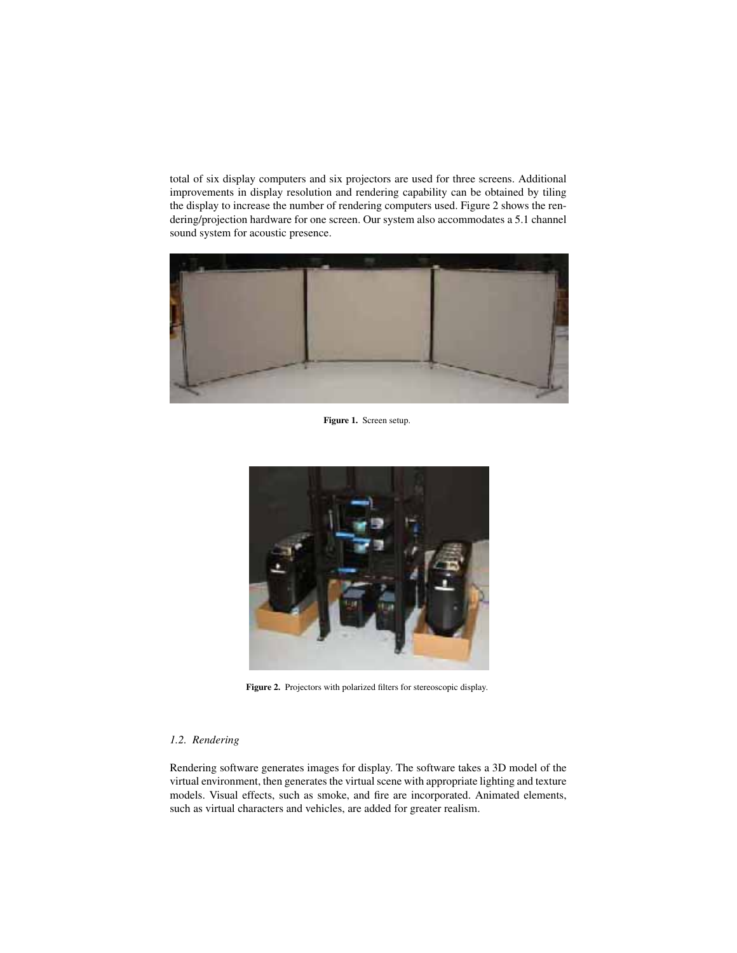total of six display computers and six projectors are used for three screens. Additional improvements in display resolution and rendering capability can be obtained by tiling the display to increase the number of rendering computers used. Figure 2 shows the rendering/projection hardware for one screen. Our system also accommodates a 5.1 channel sound system for acoustic presence.



Figure 1. Screen setup.



Figure 2. Projectors with polarized filters for stereoscopic display.

# *1.2. Rendering*

Rendering software generates images for display. The software takes a 3D model of the virtual environment, then generates the virtual scene with appropriate lighting and texture models. Visual effects, such as smoke, and fire are incorporated. Animated elements, such as virtual characters and vehicles, are added for greater realism.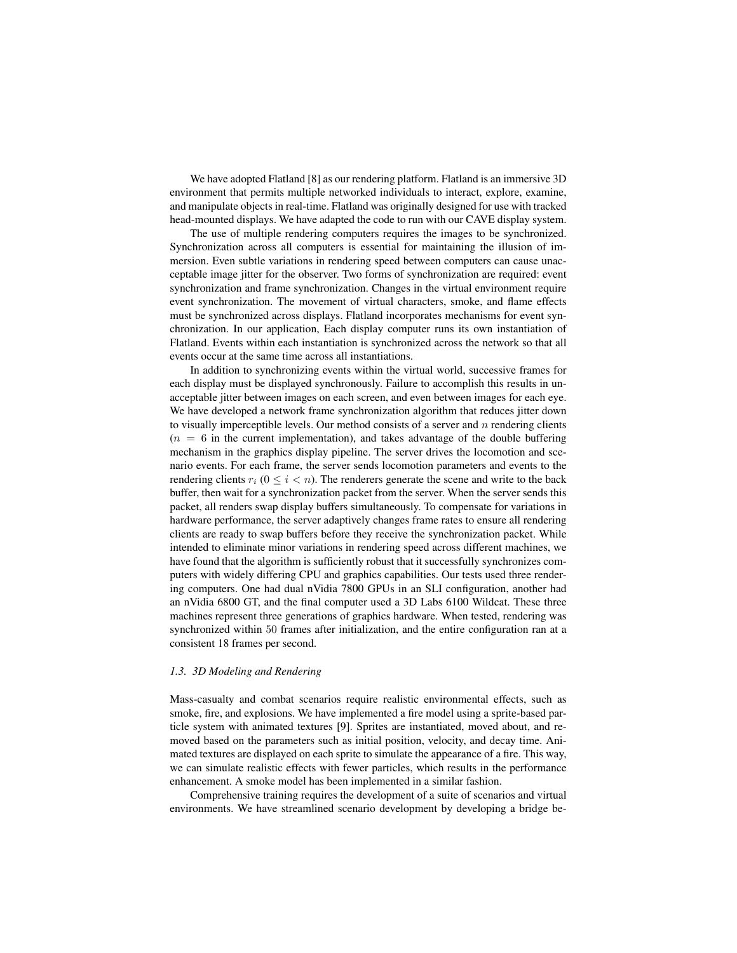We have adopted Flatland [8] as our rendering platform. Flatland is an immersive 3D environment that permits multiple networked individuals to interact, explore, examine, and manipulate objects in real-time. Flatland was originally designed for use with tracked head-mounted displays. We have adapted the code to run with our CAVE display system.

The use of multiple rendering computers requires the images to be synchronized. Synchronization across all computers is essential for maintaining the illusion of immersion. Even subtle variations in rendering speed between computers can cause unacceptable image jitter for the observer. Two forms of synchronization are required: event synchronization and frame synchronization. Changes in the virtual environment require event synchronization. The movement of virtual characters, smoke, and flame effects must be synchronized across displays. Flatland incorporates mechanisms for event synchronization. In our application, Each display computer runs its own instantiation of Flatland. Events within each instantiation is synchronized across the network so that all events occur at the same time across all instantiations.

In addition to synchronizing events within the virtual world, successive frames for each display must be displayed synchronously. Failure to accomplish this results in unacceptable jitter between images on each screen, and even between images for each eye. We have developed a network frame synchronization algorithm that reduces jitter down to visually imperceptible levels. Our method consists of a server and  $n$  rendering clients  $(n = 6$  in the current implementation), and takes advantage of the double buffering mechanism in the graphics display pipeline. The server drives the locomotion and scenario events. For each frame, the server sends locomotion parameters and events to the rendering clients  $r_i$  ( $0 \le i \le n$ ). The renderers generate the scene and write to the back buffer, then wait for a synchronization packet from the server. When the server sends this packet, all renders swap display buffers simultaneously. To compensate for variations in hardware performance, the server adaptively changes frame rates to ensure all rendering clients are ready to swap buffers before they receive the synchronization packet. While intended to eliminate minor variations in rendering speed across different machines, we have found that the algorithm is sufficiently robust that it successfully synchronizes computers with widely differing CPU and graphics capabilities. Our tests used three rendering computers. One had dual nVidia 7800 GPUs in an SLI configuration, another had an nVidia 6800 GT, and the final computer used a 3D Labs 6100 Wildcat. These three machines represent three generations of graphics hardware. When tested, rendering was synchronized within 50 frames after initialization, and the entire configuration ran at a consistent 18 frames per second.

#### *1.3. 3D Modeling and Rendering*

Mass-casualty and combat scenarios require realistic environmental effects, such as smoke, fire, and explosions. We have implemented a fire model using a sprite-based particle system with animated textures [9]. Sprites are instantiated, moved about, and removed based on the parameters such as initial position, velocity, and decay time. Animated textures are displayed on each sprite to simulate the appearance of a fire. This way, we can simulate realistic effects with fewer particles, which results in the performance enhancement. A smoke model has been implemented in a similar fashion.

Comprehensive training requires the development of a suite of scenarios and virtual environments. We have streamlined scenario development by developing a bridge be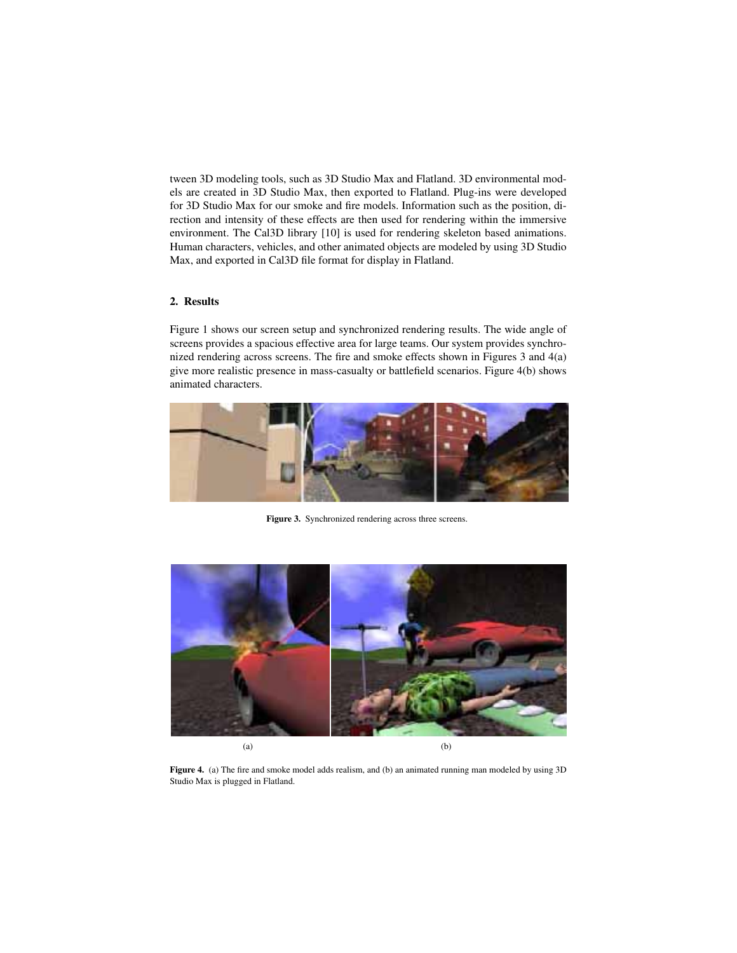tween 3D modeling tools, such as 3D Studio Max and Flatland. 3D environmental models are created in 3D Studio Max, then exported to Flatland. Plug-ins were developed for 3D Studio Max for our smoke and fire models. Information such as the position, direction and intensity of these effects are then used for rendering within the immersive environment. The Cal3D library [10] is used for rendering skeleton based animations. Human characters, vehicles, and other animated objects are modeled by using 3D Studio Max, and exported in Cal3D file format for display in Flatland.

## 2. Results

Figure 1 shows our screen setup and synchronized rendering results. The wide angle of screens provides a spacious effective area for large teams. Our system provides synchronized rendering across screens. The fire and smoke effects shown in Figures 3 and 4(a) give more realistic presence in mass-casualty or battlefield scenarios. Figure 4(b) shows animated characters.



Figure 3. Synchronized rendering across three screens.



Figure 4. (a) The fire and smoke model adds realism, and (b) an animated running man modeled by using 3D Studio Max is plugged in Flatland.